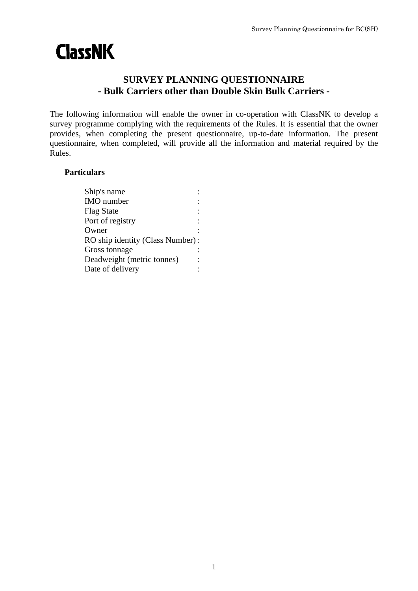# **ClassNK**

## **SURVEY PLANNING QUESTIONNAIRE - Bulk Carriers other than Double Skin Bulk Carriers -**

The following information will enable the owner in co-operation with ClassNK to develop a survey programme complying with the requirements of the Rules. It is essential that the owner provides, when completing the present questionnaire, up-to-date information. The present questionnaire, when completed, will provide all the information and material required by the Rules.

## **Particulars**

| Ship's name                      |  |
|----------------------------------|--|
| <b>IMO</b> number                |  |
| <b>Flag State</b>                |  |
| Port of registry                 |  |
| Owner                            |  |
| RO ship identity (Class Number): |  |
| Gross tonnage                    |  |
| Deadweight (metric tonnes)       |  |
| Date of delivery                 |  |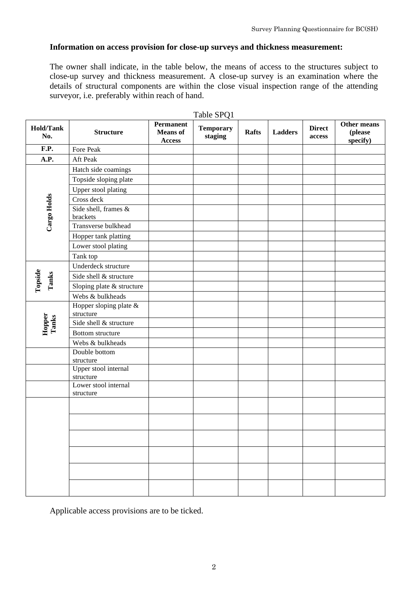#### **Information on access provision for close-up surveys and thickness measurement:**

The owner shall indicate, in the table below, the means of access to the structures subject to close-up survey and thickness measurement. A close-up survey is an examination where the details of structural components are within the close visual inspection range of the attending surveyor, i.e. preferably within reach of hand.

| Table SPQ1              |                                     |                                                      |                             |              |                |                         |                                    |  |  |  |
|-------------------------|-------------------------------------|------------------------------------------------------|-----------------------------|--------------|----------------|-------------------------|------------------------------------|--|--|--|
| <b>Hold/Tank</b><br>No. | <b>Structure</b>                    | <b>Permanent</b><br><b>Means</b> of<br><b>Access</b> | <b>Temporary</b><br>staging | <b>Rafts</b> | <b>Ladders</b> | <b>Direct</b><br>access | Other means<br>(please<br>specify) |  |  |  |
| $\overline{F}$ . P.     | Fore Peak                           |                                                      |                             |              |                |                         |                                    |  |  |  |
| A.P.                    | Aft Peak                            |                                                      |                             |              |                |                         |                                    |  |  |  |
|                         | Hatch side coamings                 |                                                      |                             |              |                |                         |                                    |  |  |  |
|                         | Topside sloping plate               |                                                      |                             |              |                |                         |                                    |  |  |  |
|                         | Upper stool plating                 |                                                      |                             |              |                |                         |                                    |  |  |  |
|                         | Cross deck                          |                                                      |                             |              |                |                         |                                    |  |  |  |
| Cargo Holds             | Side shell, frames &<br>brackets    |                                                      |                             |              |                |                         |                                    |  |  |  |
|                         | Transverse bulkhead                 |                                                      |                             |              |                |                         |                                    |  |  |  |
|                         | Hopper tank platting                |                                                      |                             |              |                |                         |                                    |  |  |  |
|                         | Lower stool plating                 |                                                      |                             |              |                |                         |                                    |  |  |  |
|                         | Tank top                            |                                                      |                             |              |                |                         |                                    |  |  |  |
| Topside<br>Tanks        | Underdeck structure                 |                                                      |                             |              |                |                         |                                    |  |  |  |
|                         | Side shell & structure              |                                                      |                             |              |                |                         |                                    |  |  |  |
|                         | Sloping plate & structure           |                                                      |                             |              |                |                         |                                    |  |  |  |
|                         | Webs & bulkheads                    |                                                      |                             |              |                |                         |                                    |  |  |  |
|                         | Hopper sloping plate &<br>structure |                                                      |                             |              |                |                         |                                    |  |  |  |
| Hopper<br>Tanks         | Side shell & structure              |                                                      |                             |              |                |                         |                                    |  |  |  |
|                         | <b>Bottom</b> structure             |                                                      |                             |              |                |                         |                                    |  |  |  |
|                         | Webs & bulkheads                    |                                                      |                             |              |                |                         |                                    |  |  |  |
|                         | Double bottom<br>structure          |                                                      |                             |              |                |                         |                                    |  |  |  |
|                         | Upper stool internal<br>structure   |                                                      |                             |              |                |                         |                                    |  |  |  |
|                         | Lower stool internal<br>structure   |                                                      |                             |              |                |                         |                                    |  |  |  |
|                         |                                     |                                                      |                             |              |                |                         |                                    |  |  |  |
|                         |                                     |                                                      |                             |              |                |                         |                                    |  |  |  |
|                         |                                     |                                                      |                             |              |                |                         |                                    |  |  |  |
|                         |                                     |                                                      |                             |              |                |                         |                                    |  |  |  |
|                         |                                     |                                                      |                             |              |                |                         |                                    |  |  |  |
|                         |                                     |                                                      |                             |              |                |                         |                                    |  |  |  |

Applicable access provisions are to be ticked.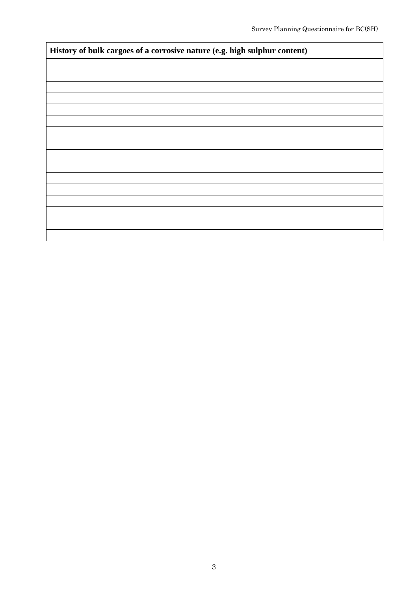| History of bulk cargoes of a corrosive nature (e.g. high sulphur content) |  |  |  |  |  |
|---------------------------------------------------------------------------|--|--|--|--|--|
|                                                                           |  |  |  |  |  |
|                                                                           |  |  |  |  |  |
|                                                                           |  |  |  |  |  |
|                                                                           |  |  |  |  |  |
|                                                                           |  |  |  |  |  |
|                                                                           |  |  |  |  |  |
|                                                                           |  |  |  |  |  |
|                                                                           |  |  |  |  |  |
|                                                                           |  |  |  |  |  |
|                                                                           |  |  |  |  |  |
|                                                                           |  |  |  |  |  |
|                                                                           |  |  |  |  |  |
|                                                                           |  |  |  |  |  |
|                                                                           |  |  |  |  |  |
|                                                                           |  |  |  |  |  |
|                                                                           |  |  |  |  |  |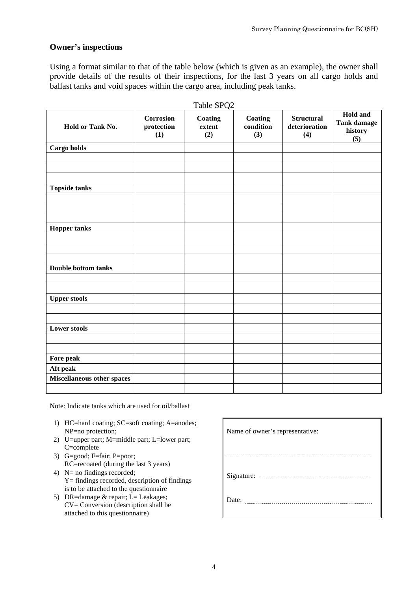#### **Owner's inspections**

Using a format similar to that of the table below (which is given as an example), the owner shall provide details of the results of their inspections, for the last 3 years on all cargo holds and ballast tanks and void spaces within the cargo area, including peak tanks.

| Hold or Tank No.           | <b>Corrosion</b><br>protection<br>(1) | Coating<br>extent<br>(2) | Coating<br>condition<br>(3) | <b>Structural</b><br>deterioration<br>(4) | Hold and<br><b>Tank damage</b><br>history<br>(5) |
|----------------------------|---------------------------------------|--------------------------|-----------------------------|-------------------------------------------|--------------------------------------------------|
| Cargo holds                |                                       |                          |                             |                                           |                                                  |
|                            |                                       |                          |                             |                                           |                                                  |
|                            |                                       |                          |                             |                                           |                                                  |
| <b>Topside tanks</b>       |                                       |                          |                             |                                           |                                                  |
|                            |                                       |                          |                             |                                           |                                                  |
|                            |                                       |                          |                             |                                           |                                                  |
| <b>Hopper tanks</b>        |                                       |                          |                             |                                           |                                                  |
|                            |                                       |                          |                             |                                           |                                                  |
|                            |                                       |                          |                             |                                           |                                                  |
|                            |                                       |                          |                             |                                           |                                                  |
| Double bottom tanks        |                                       |                          |                             |                                           |                                                  |
|                            |                                       |                          |                             |                                           |                                                  |
| <b>Upper stools</b>        |                                       |                          |                             |                                           |                                                  |
|                            |                                       |                          |                             |                                           |                                                  |
|                            |                                       |                          |                             |                                           |                                                  |
| <b>Lower stools</b>        |                                       |                          |                             |                                           |                                                  |
|                            |                                       |                          |                             |                                           |                                                  |
|                            |                                       |                          |                             |                                           |                                                  |
| Fore peak                  |                                       |                          |                             |                                           |                                                  |
| Aft peak                   |                                       |                          |                             |                                           |                                                  |
| Miscellaneous other spaces |                                       |                          |                             |                                           |                                                  |
|                            |                                       |                          |                             |                                           |                                                  |

Note: Indicate tanks which are used for oil/ballast

- 1) HC=hard coating; SC=soft coating; A=anodes; NP=no protection; Name of owner's representative:
- 2) U=upper part; M=middle part; L=lower part; C=complete
- 3) G=good; F=fair; P=poor; RC=recoated (during the last 3 years)
- 4) N= no findings recorded; Y= findings recorded, description of findings is to be attached to the questionnaire
- 5) DR=damage  $&$  repair; L= Leakages; CV= Conversion (description shall be attached to this questionnaire)

 $\overline{a}$ Signature: Date: